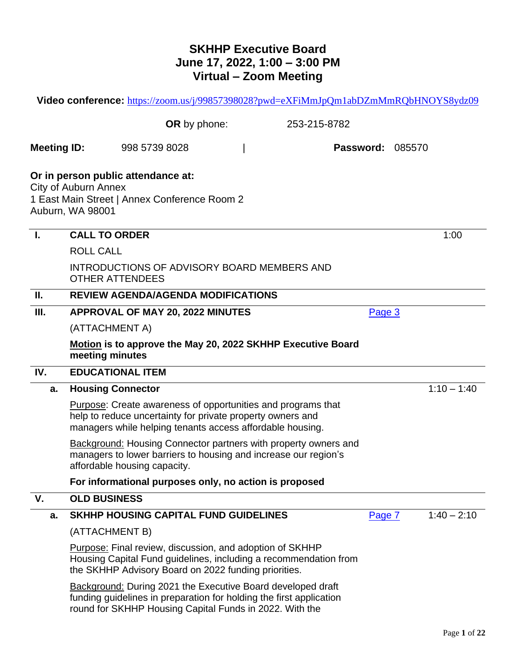# **SKHHP Executive Board June 17, 2022, 1:00 – 3:00 PM Virtual – Zoom Meeting**

|                    | Video conference: https://zoom.us/j/99857398028?pwd=eXFiMmJpQm1abDZmMmRQbHNOYS8ydz09                                                                                                                 |        |               |
|--------------------|------------------------------------------------------------------------------------------------------------------------------------------------------------------------------------------------------|--------|---------------|
|                    | OR by phone:<br>253-215-8782                                                                                                                                                                         |        |               |
| <b>Meeting ID:</b> | <b>Password: 085570</b><br>998 5739 8028                                                                                                                                                             |        |               |
|                    | Or in person public attendance at:<br><b>City of Auburn Annex</b><br>1 East Main Street   Annex Conference Room 2<br>Auburn, WA 98001                                                                |        |               |
| -1.                | <b>CALL TO ORDER</b>                                                                                                                                                                                 |        | 1:00          |
|                    | <b>ROLL CALL</b>                                                                                                                                                                                     |        |               |
|                    | INTRODUCTIONS OF ADVISORY BOARD MEMBERS AND<br><b>OTHER ATTENDEES</b>                                                                                                                                |        |               |
| П.                 | <b>REVIEW AGENDA/AGENDA MODIFICATIONS</b>                                                                                                                                                            |        |               |
| III.               | <b>APPROVAL OF MAY 20, 2022 MINUTES</b>                                                                                                                                                              | Page 3 |               |
|                    | (ATTACHMENT A)                                                                                                                                                                                       |        |               |
|                    | Motion is to approve the May 20, 2022 SKHHP Executive Board<br>meeting minutes                                                                                                                       |        |               |
| IV.                | <b>EDUCATIONAL ITEM</b>                                                                                                                                                                              |        |               |
| a.                 | <b>Housing Connector</b>                                                                                                                                                                             |        | $1:10 - 1:40$ |
|                    | <b>Purpose:</b> Create awareness of opportunities and programs that<br>help to reduce uncertainty for private property owners and<br>managers while helping tenants access affordable housing.       |        |               |
|                    | <b>Background: Housing Connector partners with property owners and</b><br>managers to lower barriers to housing and increase our region's<br>affordable housing capacity.                            |        |               |
|                    | For informational purposes only, no action is proposed                                                                                                                                               |        |               |
| V.                 | <b>OLD BUSINESS</b>                                                                                                                                                                                  |        |               |
| a.                 | <b>SKHHP HOUSING CAPITAL FUND GUIDELINES</b>                                                                                                                                                         | Page 7 | $1:40 - 2:10$ |
|                    | (ATTACHMENT B)                                                                                                                                                                                       |        |               |
|                    | <b>Purpose:</b> Final review, discussion, and adoption of SKHHP<br>Housing Capital Fund guidelines, including a recommendation from<br>the SKHHP Advisory Board on 2022 funding priorities.          |        |               |
|                    | <b>Background: During 2021 the Executive Board developed draft</b><br>funding guidelines in preparation for holding the first application<br>round for SKHHP Housing Capital Funds in 2022. With the |        |               |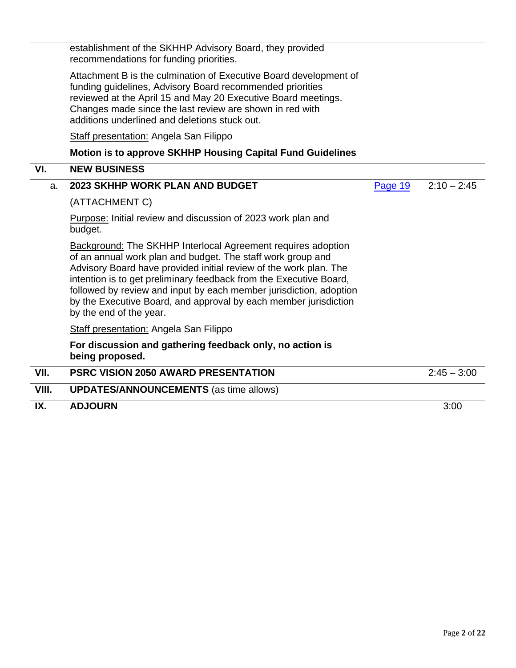| IX.   | <b>ADJOURN</b>                                                                                                                                                                                                                                                                                                                                                                                                                                                                                                                                  |         | 3:00          |
|-------|-------------------------------------------------------------------------------------------------------------------------------------------------------------------------------------------------------------------------------------------------------------------------------------------------------------------------------------------------------------------------------------------------------------------------------------------------------------------------------------------------------------------------------------------------|---------|---------------|
| VIII. | <b>UPDATES/ANNOUNCEMENTS (as time allows)</b>                                                                                                                                                                                                                                                                                                                                                                                                                                                                                                   |         |               |
| VII.  | <b>PSRC VISION 2050 AWARD PRESENTATION</b>                                                                                                                                                                                                                                                                                                                                                                                                                                                                                                      |         | $2:45 - 3:00$ |
|       | For discussion and gathering feedback only, no action is<br>being proposed.                                                                                                                                                                                                                                                                                                                                                                                                                                                                     |         |               |
|       | <b>Staff presentation: Angela San Filippo</b>                                                                                                                                                                                                                                                                                                                                                                                                                                                                                                   |         |               |
|       | (ATTACHMENT C)<br>Purpose: Initial review and discussion of 2023 work plan and<br>budget.<br><b>Background: The SKHHP Interlocal Agreement requires adoption</b><br>of an annual work plan and budget. The staff work group and<br>Advisory Board have provided initial review of the work plan. The<br>intention is to get preliminary feedback from the Executive Board,<br>followed by review and input by each member jurisdiction, adoption<br>by the Executive Board, and approval by each member jurisdiction<br>by the end of the year. |         |               |
| a.    | <b>2023 SKHHP WORK PLAN AND BUDGET</b>                                                                                                                                                                                                                                                                                                                                                                                                                                                                                                          | Page 19 | $2:10 - 2:45$ |
| VI.   | <b>NEW BUSINESS</b>                                                                                                                                                                                                                                                                                                                                                                                                                                                                                                                             |         |               |
|       | <b>Motion is to approve SKHHP Housing Capital Fund Guidelines</b>                                                                                                                                                                                                                                                                                                                                                                                                                                                                               |         |               |
|       | <b>Staff presentation: Angela San Filippo</b>                                                                                                                                                                                                                                                                                                                                                                                                                                                                                                   |         |               |
|       | Attachment B is the culmination of Executive Board development of<br>funding guidelines, Advisory Board recommended priorities<br>reviewed at the April 15 and May 20 Executive Board meetings.<br>Changes made since the last review are shown in red with<br>additions underlined and deletions stuck out.                                                                                                                                                                                                                                    |         |               |
|       | establishment of the SKHHP Advisory Board, they provided<br>recommendations for funding priorities.                                                                                                                                                                                                                                                                                                                                                                                                                                             |         |               |

L,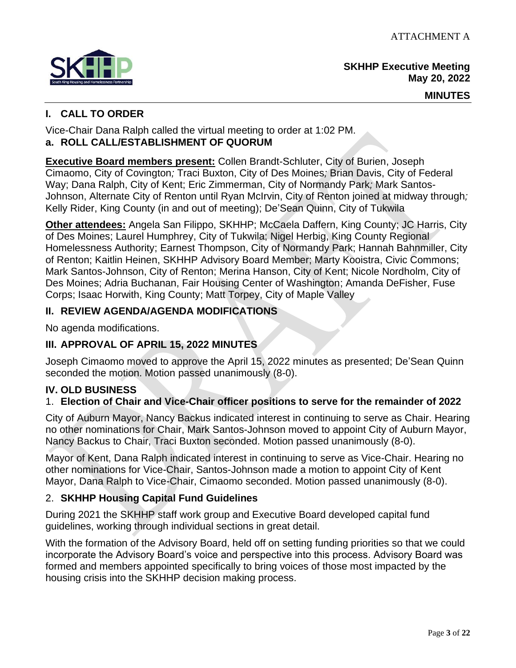<span id="page-2-0"></span>

**SKHHP Executive Meeting May 20, 2022**

#### **MINUTES**

## **I. CALL TO ORDER**

Vice-Chair Dana Ralph called the virtual meeting to order at 1:02 PM. **a. ROLL CALL/ESTABLISHMENT OF QUORUM**

**Executive Board members present:** Collen Brandt-Schluter, City of Burien, Joseph Cimaomo, City of Covington*;* Traci Buxton, City of Des Moines*;* Brian Davis, City of Federal Way; Dana Ralph, City of Kent; Eric Zimmerman, City of Normandy Park*;* Mark Santos-Johnson, Alternate City of Renton until Ryan McIrvin, City of Renton joined at midway through*;* Kelly Rider, King County (in and out of meeting); De'Sean Quinn, City of Tukwila

**Other attendees:** Angela San Filippo, SKHHP; McCaela Daffern, King County; JC Harris, City of Des Moines; Laurel Humphrey, City of Tukwila; Nigel Herbig, King County Regional Homelessness Authority; Earnest Thompson, City of Normandy Park; Hannah Bahnmiller, City of Renton; Kaitlin Heinen, SKHHP Advisory Board Member; Marty Kooistra, Civic Commons; Mark Santos-Johnson, City of Renton; Merina Hanson, City of Kent; Nicole Nordholm, City of Des Moines; Adria Buchanan, Fair Housing Center of Washington; Amanda DeFisher, Fuse Corps; Isaac Horwith, King County; Matt Torpey, City of Maple Valley

## **II. REVIEW AGENDA/AGENDA MODIFICATIONS**

No agenda modifications.

## **III. APPROVAL OF APRIL 15, 2022 MINUTES**

Joseph Cimaomo moved to approve the April 15, 2022 minutes as presented; De'Sean Quinn seconded the motion. Motion passed unanimously (8-0).

## **IV. OLD BUSINESS**

## 1. **Election of Chair and Vice-Chair officer positions to serve for the remainder of 2022**

City of Auburn Mayor, Nancy Backus indicated interest in continuing to serve as Chair. Hearing no other nominations for Chair, Mark Santos-Johnson moved to appoint City of Auburn Mayor, Nancy Backus to Chair, Traci Buxton seconded. Motion passed unanimously (8-0).

Mayor of Kent, Dana Ralph indicated interest in continuing to serve as Vice-Chair. Hearing no other nominations for Vice-Chair, Santos-Johnson made a motion to appoint City of Kent Mayor, Dana Ralph to Vice-Chair, Cimaomo seconded. Motion passed unanimously (8-0).

## 2. **SKHHP Housing Capital Fund Guidelines**

During 2021 the SKHHP staff work group and Executive Board developed capital fund guidelines, working through individual sections in great detail.

With the formation of the Advisory Board, held off on setting funding priorities so that we could incorporate the Advisory Board's voice and perspective into this process. Advisory Board was formed and members appointed specifically to bring voices of those most impacted by the housing crisis into the SKHHP decision making process.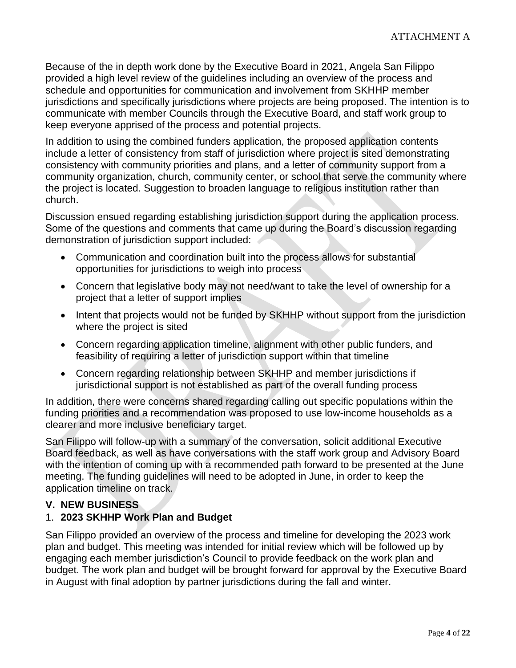Because of the in depth work done by the Executive Board in 2021, Angela San Filippo provided a high level review of the guidelines including an overview of the process and schedule and opportunities for communication and involvement from SKHHP member jurisdictions and specifically jurisdictions where projects are being proposed. The intention is to communicate with member Councils through the Executive Board, and staff work group to keep everyone apprised of the process and potential projects.

In addition to using the combined funders application, the proposed application contents include a letter of consistency from staff of jurisdiction where project is sited demonstrating consistency with community priorities and plans, and a letter of community support from a community organization, church, community center, or school that serve the community where the project is located. Suggestion to broaden language to religious institution rather than church.

Discussion ensued regarding establishing jurisdiction support during the application process. Some of the questions and comments that came up during the Board's discussion regarding demonstration of jurisdiction support included:

- Communication and coordination built into the process allows for substantial opportunities for jurisdictions to weigh into process
- Concern that legislative body may not need/want to take the level of ownership for a project that a letter of support implies
- Intent that projects would not be funded by SKHHP without support from the jurisdiction where the project is sited
- Concern regarding application timeline, alignment with other public funders, and feasibility of requiring a letter of jurisdiction support within that timeline
- Concern regarding relationship between SKHHP and member jurisdictions if jurisdictional support is not established as part of the overall funding process

In addition, there were concerns shared regarding calling out specific populations within the funding priorities and a recommendation was proposed to use low-income households as a clearer and more inclusive beneficiary target.

San Filippo will follow-up with a summary of the conversation, solicit additional Executive Board feedback, as well as have conversations with the staff work group and Advisory Board with the intention of coming up with a recommended path forward to be presented at the June meeting. The funding guidelines will need to be adopted in June, in order to keep the application timeline on track.

## **V. NEW BUSINESS**

## 1. **2023 SKHHP Work Plan and Budget**

San Filippo provided an overview of the process and timeline for developing the 2023 work plan and budget. This meeting was intended for initial review which will be followed up by engaging each member jurisdiction's Council to provide feedback on the work plan and budget. The work plan and budget will be brought forward for approval by the Executive Board in August with final adoption by partner jurisdictions during the fall and winter.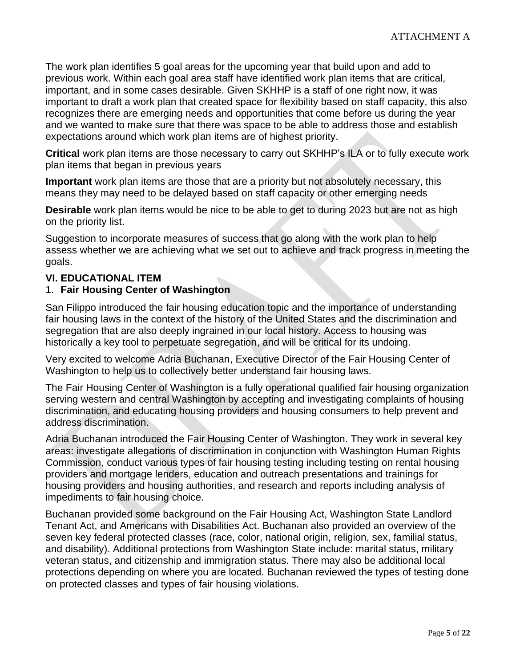The work plan identifies 5 goal areas for the upcoming year that build upon and add to previous work. Within each goal area staff have identified work plan items that are critical, important, and in some cases desirable. Given SKHHP is a staff of one right now, it was important to draft a work plan that created space for flexibility based on staff capacity, this also recognizes there are emerging needs and opportunities that come before us during the year and we wanted to make sure that there was space to be able to address those and establish expectations around which work plan items are of highest priority.

**Critical** work plan items are those necessary to carry out SKHHP's ILA or to fully execute work plan items that began in previous years

**Important** work plan items are those that are a priority but not absolutely necessary, this means they may need to be delayed based on staff capacity or other emerging needs

**Desirable** work plan items would be nice to be able to get to during 2023 but are not as high on the priority list.

Suggestion to incorporate measures of success that go along with the work plan to help assess whether we are achieving what we set out to achieve and track progress in meeting the goals.

## **VI. EDUCATIONAL ITEM**

## 1. **Fair Housing Center of Washington**

San Filippo introduced the fair housing education topic and the importance of understanding fair housing laws in the context of the history of the United States and the discrimination and segregation that are also deeply ingrained in our local history. Access to housing was historically a key tool to perpetuate segregation, and will be critical for its undoing.

Very excited to welcome Adria Buchanan, Executive Director of the Fair Housing Center of Washington to help us to collectively better understand fair housing laws.

The Fair Housing Center of Washington is a fully operational qualified fair housing organization serving western and central Washington by accepting and investigating complaints of housing discrimination, and educating housing providers and housing consumers to help prevent and address discrimination.

Adria Buchanan introduced the Fair Housing Center of Washington. They work in several key areas: investigate allegations of discrimination in conjunction with Washington Human Rights Commission, conduct various types of fair housing testing including testing on rental housing providers and mortgage lenders, education and outreach presentations and trainings for housing providers and housing authorities, and research and reports including analysis of impediments to fair housing choice.

Buchanan provided some background on the Fair Housing Act, Washington State Landlord Tenant Act, and Americans with Disabilities Act. Buchanan also provided an overview of the seven key federal protected classes (race, color, national origin, religion, sex, familial status, and disability). Additional protections from Washington State include: marital status, military veteran status, and citizenship and immigration status. There may also be additional local protections depending on where you are located. Buchanan reviewed the types of testing done on protected classes and types of fair housing violations.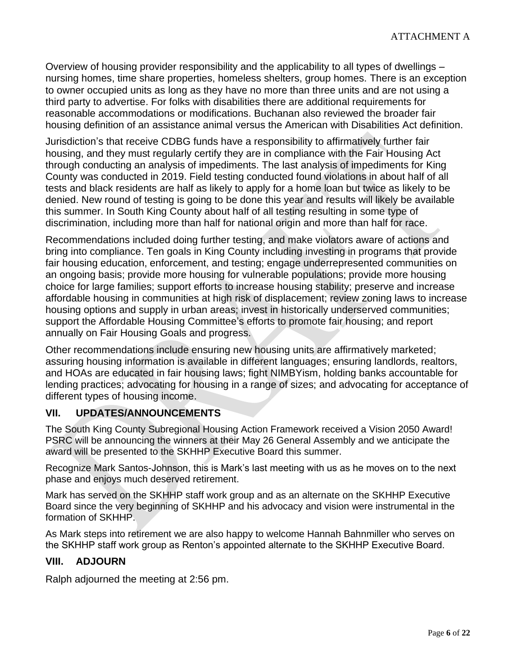Overview of housing provider responsibility and the applicability to all types of dwellings – nursing homes, time share properties, homeless shelters, group homes. There is an exception to owner occupied units as long as they have no more than three units and are not using a third party to advertise. For folks with disabilities there are additional requirements for reasonable accommodations or modifications. Buchanan also reviewed the broader fair housing definition of an assistance animal versus the American with Disabilities Act definition.

Jurisdiction's that receive CDBG funds have a responsibility to affirmatively further fair housing, and they must regularly certify they are in compliance with the Fair Housing Act through conducting an analysis of impediments. The last analysis of impediments for King County was conducted in 2019. Field testing conducted found violations in about half of all tests and black residents are half as likely to apply for a home loan but twice as likely to be denied. New round of testing is going to be done this year and results will likely be available this summer. In South King County about half of all testing resulting in some type of discrimination, including more than half for national origin and more than half for race.

Recommendations included doing further testing, and make violators aware of actions and bring into compliance. Ten goals in King County including investing in programs that provide fair housing education, enforcement, and testing; engage underrepresented communities on an ongoing basis; provide more housing for vulnerable populations; provide more housing choice for large families; support efforts to increase housing stability; preserve and increase affordable housing in communities at high risk of displacement; review zoning laws to increase housing options and supply in urban areas; invest in historically underserved communities; support the Affordable Housing Committee's efforts to promote fair housing; and report annually on Fair Housing Goals and progress.

Other recommendations include ensuring new housing units are affirmatively marketed; assuring housing information is available in different languages; ensuring landlords, realtors, and HOAs are educated in fair housing laws; fight NIMBYism, holding banks accountable for lending practices; advocating for housing in a range of sizes; and advocating for acceptance of different types of housing income.

## **VII. UPDATES/ANNOUNCEMENTS**

The South King County Subregional Housing Action Framework received a Vision 2050 Award! PSRC will be announcing the winners at their May 26 General Assembly and we anticipate the award will be presented to the SKHHP Executive Board this summer.

Recognize Mark Santos-Johnson, this is Mark's last meeting with us as he moves on to the next phase and enjoys much deserved retirement.

Mark has served on the SKHHP staff work group and as an alternate on the SKHHP Executive Board since the very beginning of SKHHP and his advocacy and vision were instrumental in the formation of SKHHP.

As Mark steps into retirement we are also happy to welcome Hannah Bahnmiller who serves on the SKHHP staff work group as Renton's appointed alternate to the SKHHP Executive Board.

## **VIII. ADJOURN**

Ralph adjourned the meeting at 2:56 pm.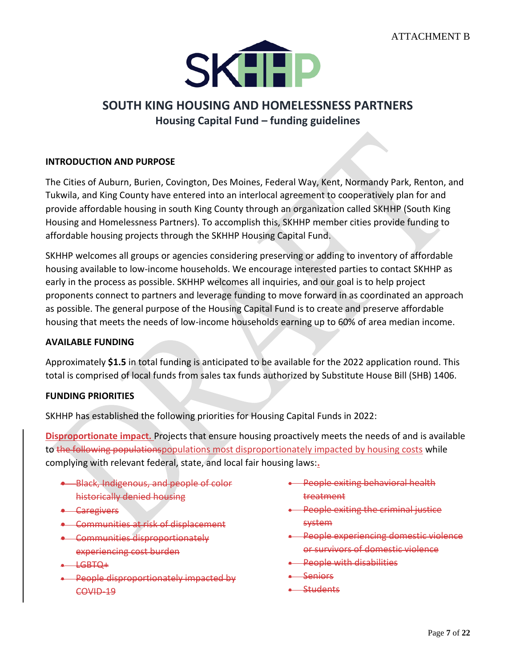

# <span id="page-6-0"></span>**SOUTH KING HOUSING AND HOMELESSNESS PARTNERS Housing Capital Fund – funding guidelines**

#### **INTRODUCTION AND PURPOSE**

The Cities of Auburn, Burien, Covington, Des Moines, Federal Way, Kent, Normandy Park, Renton, and Tukwila, and King County have entered into an interlocal agreement to cooperatively plan for and provide affordable housing in south King County through an organization called SKHHP (South King Housing and Homelessness Partners). To accomplish this, SKHHP member cities provide funding to affordable housing projects through the SKHHP Housing Capital Fund.

SKHHP welcomes all groups or agencies considering preserving or adding to inventory of affordable housing available to low-income households. We encourage interested parties to contact SKHHP as early in the process as possible. SKHHP welcomes all inquiries, and our goal is to help project proponents connect to partners and leverage funding to move forward in as coordinated an approach as possible. The general purpose of the Housing Capital Fund is to create and preserve affordable housing that meets the needs of low-income households earning up to 60% of area median income.

#### **AVAILABLE FUNDING**

Approximately **\$1.5** in total funding is anticipated to be available for the 2022 application round. This total is comprised of local funds from sales tax funds authorized by Substitute House Bill (SHB) 1406.

#### **FUNDING PRIORITIES**

SKHHP has established the following priorities for Housing Capital Funds in 2022:

**Disproportionate impact.** Projects that ensure housing proactively meets the needs of and is available to the following populationspopulations most disproportionately impacted by housing costs while complying with relevant federal, state, and local fair housing laws:**.**

- **Black, Indigenous, and people of color** historically denied housing
- Caregivers
- Communities at risk of displacement
- Communities disproportionately experiencing cost burden
- $-$  LGBT $\Omega$ +
- People disproportionately impacted by COVID-19
- People exiting behavioral health treatment
- People exiting the criminal justice system
- People experiencing domestic violence or survivors of domestic violence
- People with disabilities
- Seniors
- Students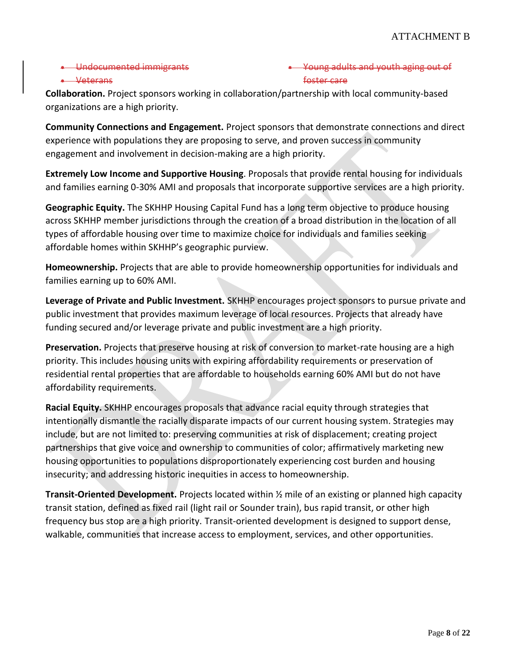• Undocumented immigrants

## adults and youth aging out of foster care

#### • Veterans

**Collaboration.** Project sponsors working in collaboration/partnership with local community-based organizations are a high priority.

**Community Connections and Engagement.** Project sponsors that demonstrate connections and direct experience with populations they are proposing to serve, and proven success in community engagement and involvement in decision-making are a high priority.

**Extremely Low Income and Supportive Housing**. Proposals that provide rental housing for individuals and families earning 0-30% AMI and proposals that incorporate supportive services are a high priority.

**Geographic Equity.** The SKHHP Housing Capital Fund has a long term objective to produce housing across SKHHP member jurisdictions through the creation of a broad distribution in the location of all types of affordable housing over time to maximize choice for individuals and families seeking affordable homes within SKHHP's geographic purview.

**Homeownership.** Projects that are able to provide homeownership opportunities for individuals and families earning up to 60% AMI.

**Leverage of Private and Public Investment.** SKHHP encourages project sponsors to pursue private and public investment that provides maximum leverage of local resources. Projects that already have funding secured and/or leverage private and public investment are a high priority.

**Preservation.** Projects that preserve housing at risk of conversion to market-rate housing are a high priority. This includes housing units with expiring affordability requirements or preservation of residential rental properties that are affordable to households earning 60% AMI but do not have affordability requirements.

**Racial Equity.** SKHHP encourages proposals that advance racial equity through strategies that intentionally dismantle the racially disparate impacts of our current housing system. Strategies may include, but are not limited to: preserving communities at risk of displacement; creating project partnerships that give voice and ownership to communities of color; affirmatively marketing new housing opportunities to populations disproportionately experiencing cost burden and housing insecurity; and addressing historic inequities in access to homeownership.

**Transit-Oriented Development.** Projects located within ½ mile of an existing or planned high capacity transit station, defined as fixed rail (light rail or Sounder train), bus rapid transit, or other high frequency bus stop are a high priority. Transit-oriented development is designed to support dense, walkable, communities that increase access to employment, services, and other opportunities.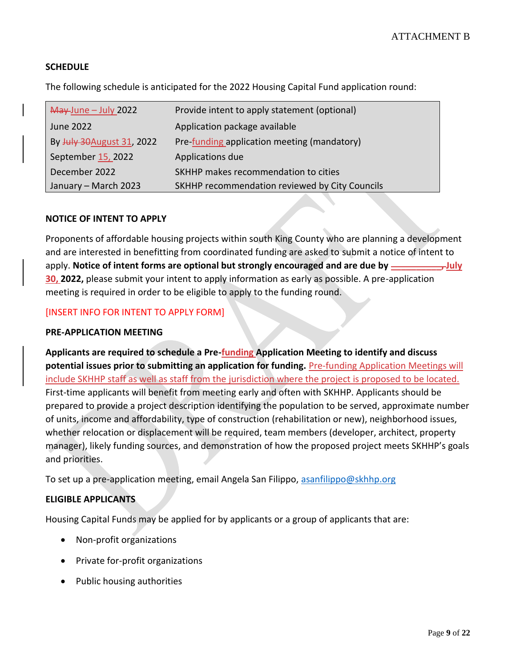## **SCHEDULE**

The following schedule is anticipated for the 2022 Housing Capital Fund application round:

| May-June - July 2022       | Provide intent to apply statement (optional)   |
|----------------------------|------------------------------------------------|
| June 2022                  | Application package available                  |
| By July 30 August 31, 2022 | Pre-funding application meeting (mandatory)    |
| September 15, 2022         | Applications due                               |
| December 2022              | SKHHP makes recommendation to cities           |
| January - March 2023       | SKHHP recommendation reviewed by City Councils |

#### **NOTICE OF INTENT TO APPLY**

Proponents of affordable housing projects within south King County who are planning a development and are interested in benefitting from coordinated funding are asked to submit a notice of intent to apply. **Notice of intent forms are optional but strongly encouraged and are due by \_\_\_\_\_\_\_\_\_\_, July 30, 2022,** please submit your intent to apply information as early as possible. A pre-application meeting is required in order to be eligible to apply to the funding round.

#### [INSERT INFO FOR INTENT TO APPLY FORM]

#### **PRE-APPLICATION MEETING**

**Applicants are required to schedule a Pre-funding Application Meeting to identify and discuss potential issues prior to submitting an application for funding.** Pre-funding Application Meetings will include SKHHP staff as well as staff from the jurisdiction where the project is proposed to be located. First-time applicants will benefit from meeting early and often with SKHHP. Applicants should be prepared to provide a project description identifying the population to be served, approximate number of units, income and affordability, type of construction (rehabilitation or new), neighborhood issues, whether relocation or displacement will be required, team members (developer, architect, property manager), likely funding sources, and demonstration of how the proposed project meets SKHHP's goals and priorities.

To set up a pre-application meeting, email Angela San Filippo, [asanfilippo@skhhp.org](mailto:asanfilippo@skhhp.org)

#### **ELIGIBLE APPLICANTS**

Housing Capital Funds may be applied for by applicants or a group of applicants that are:

- Non-profit organizations
- Private for-profit organizations
- Public housing authorities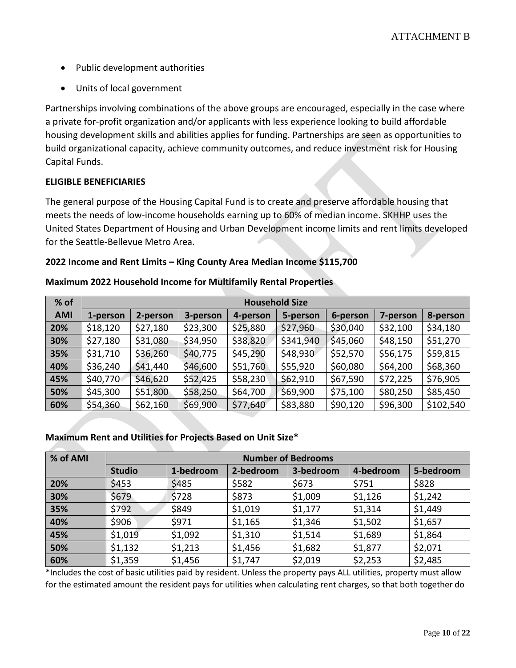- Public development authorities
- Units of local government

Partnerships involving combinations of the above groups are encouraged, especially in the case where a private for-profit organization and/or applicants with less experience looking to build affordable housing development skills and abilities applies for funding. Partnerships are seen as opportunities to build organizational capacity, achieve community outcomes, and reduce investment risk for Housing Capital Funds.

## **ELIGIBLE BENEFICIARIES**

The general purpose of the Housing Capital Fund is to create and preserve affordable housing that meets the needs of low-income households earning up to 60% of median income. SKHHP uses the United States Department of Housing and Urban Development income limits and rent limits developed for the Seattle-Bellevue Metro Area.

## **2022 Income and Rent Limits – King County Area Median Income \$115,700**

| % of       | <b>Household Size</b> |          |          |          |           |          |          |           |
|------------|-----------------------|----------|----------|----------|-----------|----------|----------|-----------|
| <b>AMI</b> | 1-person              | 2-person | 3-person | 4-person | 5-person  | 6-person | 7-person | 8-person  |
| 20%        | \$18,120              | \$27,180 | \$23,300 | \$25,880 | \$27,960  | \$30,040 | \$32,100 | \$34,180  |
| 30%        | \$27,180              | \$31,080 | \$34,950 | \$38,820 | \$341,940 | \$45,060 | \$48,150 | \$51,270  |
| 35%        | \$31,710              | \$36,260 | \$40,775 | \$45,290 | \$48,930  | \$52,570 | \$56,175 | \$59,815  |
| 40%        | \$36,240              | \$41,440 | \$46,600 | \$51,760 | \$55,920  | \$60,080 | \$64,200 | \$68,360  |
| 45%        | \$40,770              | \$46,620 | \$52,425 | \$58,230 | \$62,910  | \$67,590 | \$72,225 | \$76,905  |
| 50%        | \$45,300              | \$51,800 | \$58,250 | \$64,700 | \$69,900  | \$75,100 | \$80,250 | \$85,450  |
| 60%        | \$54,360              | \$62,160 | \$69,900 | \$77,640 | \$83,880  | \$90,120 | \$96,300 | \$102,540 |

#### **Maximum 2022 Household Income for Multifamily Rental Properties**

#### **Maximum Rent and Utilities for Projects Based on Unit Size\***

| % of AMI | <b>Number of Bedrooms</b> |           |           |           |           |           |
|----------|---------------------------|-----------|-----------|-----------|-----------|-----------|
|          | <b>Studio</b>             | 1-bedroom | 2-bedroom | 3-bedroom | 4-bedroom | 5-bedroom |
| 20%      | \$453                     | \$485     | \$582     | \$673     | \$751     | \$828     |
| 30%      | \$679                     | \$728     | \$873     | \$1,009   | \$1,126   | \$1,242   |
| 35%      | \$792                     | \$849     | \$1,019   | \$1,177   | \$1,314   | \$1,449   |
| 40%      | \$906                     | \$971     | \$1,165   | \$1,346   | \$1,502   | \$1,657   |
| 45%      | \$1,019                   | \$1,092   | \$1,310   | \$1,514   | \$1,689   | \$1,864   |
| 50%      | \$1,132                   | \$1,213   | \$1,456   | \$1,682   | \$1,877   | \$2,071   |
| 60%      | \$1,359                   | \$1,456   | \$1,747   | \$2,019   | \$2,253   | \$2,485   |

\*Includes the cost of basic utilities paid by resident. Unless the property pays ALL utilities, property must allow for the estimated amount the resident pays for utilities when calculating rent charges, so that both together do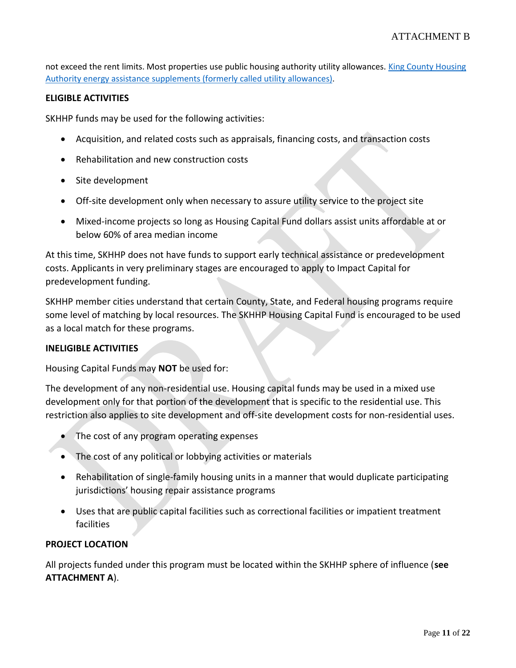not exceed the rent limits. Most properties use public housing authority utility allowances. King County Housing [Authority energy assistance supplements \(formerly called utility allowances\).](https://www.kcha.org/landlords/rent-utilities)

#### **ELIGIBLE ACTIVITIES**

SKHHP funds may be used for the following activities:

- Acquisition, and related costs such as appraisals, financing costs, and transaction costs
- Rehabilitation and new construction costs
- Site development
- Off-site development only when necessary to assure utility service to the project site
- Mixed-income projects so long as Housing Capital Fund dollars assist units affordable at or below 60% of area median income

At this time, SKHHP does not have funds to support early technical assistance or predevelopment costs. Applicants in very preliminary stages are encouraged to apply to Impact Capital for predevelopment funding.

SKHHP member cities understand that certain County, State, and Federal housing programs require some level of matching by local resources. The SKHHP Housing Capital Fund is encouraged to be used as a local match for these programs.

#### **INELIGIBLE ACTIVITIES**

Housing Capital Funds may **NOT** be used for:

The development of any non-residential use. Housing capital funds may be used in a mixed use development only for that portion of the development that is specific to the residential use. This restriction also applies to site development and off-site development costs for non-residential uses.

- The cost of any program operating expenses
- The cost of any political or lobbying activities or materials
- Rehabilitation of single-family housing units in a manner that would duplicate participating jurisdictions' housing repair assistance programs
- Uses that are public capital facilities such as correctional facilities or impatient treatment facilities

#### **PROJECT LOCATION**

All projects funded under this program must be located within the SKHHP sphere of influence (**see ATTACHMENT A**).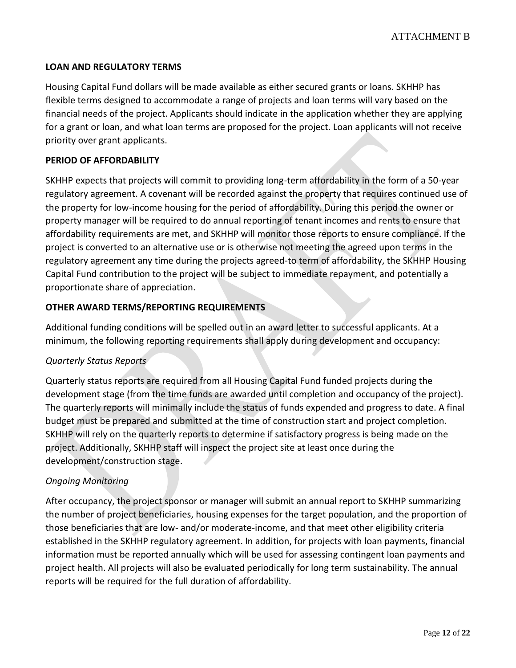## **LOAN AND REGULATORY TERMS**

Housing Capital Fund dollars will be made available as either secured grants or loans. SKHHP has flexible terms designed to accommodate a range of projects and loan terms will vary based on the financial needs of the project. Applicants should indicate in the application whether they are applying for a grant or loan, and what loan terms are proposed for the project. Loan applicants will not receive priority over grant applicants.

### **PERIOD OF AFFORDABILITY**

SKHHP expects that projects will commit to providing long-term affordability in the form of a 50-year regulatory agreement. A covenant will be recorded against the property that requires continued use of the property for low-income housing for the period of affordability. During this period the owner or property manager will be required to do annual reporting of tenant incomes and rents to ensure that affordability requirements are met, and SKHHP will monitor those reports to ensure compliance. If the project is converted to an alternative use or is otherwise not meeting the agreed upon terms in the regulatory agreement any time during the projects agreed-to term of affordability, the SKHHP Housing Capital Fund contribution to the project will be subject to immediate repayment, and potentially a proportionate share of appreciation.

#### **OTHER AWARD TERMS/REPORTING REQUIREMENTS**

Additional funding conditions will be spelled out in an award letter to successful applicants. At a minimum, the following reporting requirements shall apply during development and occupancy:

#### *Quarterly Status Reports*

Quarterly status reports are required from all Housing Capital Fund funded projects during the development stage (from the time funds are awarded until completion and occupancy of the project). The quarterly reports will minimally include the status of funds expended and progress to date. A final budget must be prepared and submitted at the time of construction start and project completion. SKHHP will rely on the quarterly reports to determine if satisfactory progress is being made on the project. Additionally, SKHHP staff will inspect the project site at least once during the development/construction stage.

#### *Ongoing Monitoring*

After occupancy, the project sponsor or manager will submit an annual report to SKHHP summarizing the number of project beneficiaries, housing expenses for the target population, and the proportion of those beneficiaries that are low- and/or moderate-income, and that meet other eligibility criteria established in the SKHHP regulatory agreement. In addition, for projects with loan payments, financial information must be reported annually which will be used for assessing contingent loan payments and project health. All projects will also be evaluated periodically for long term sustainability. The annual reports will be required for the full duration of affordability.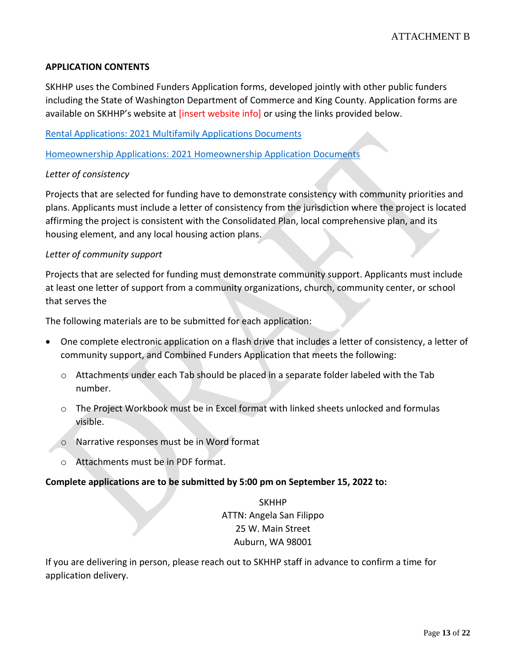#### **APPLICATION CONTENTS**

SKHHP uses the Combined Funders Application forms, developed jointly with other public funders including the State of Washington Department of Commerce and King County. Application forms are available on SKHHP's website at [insert website info] or using the links provided below.

[Rental Applications: 2021 Multifamily Applications Documents](https://deptofcommerce.app.box.com/s/7wheoyj07215lh2prjbmmk8g33ob75d4/folder/139359656537)

[Homeownership Applications: 2021 Homeownership Application Documents](https://deptofcommerce.app.box.com/s/7wheoyj07215lh2prjbmmk8g33ob75d4/folder/139359953928)

#### *Letter of consistency*

Projects that are selected for funding have to demonstrate consistency with community priorities and plans. Applicants must include a letter of consistency from the jurisdiction where the project is located affirming the project is consistent with the Consolidated Plan, local comprehensive plan, and its housing element, and any local housing action plans.

#### *Letter of community support*

Projects that are selected for funding must demonstrate community support. Applicants must include at least one letter of support from a community organizations, church, community center, or school that serves the

The following materials are to be submitted for each application:

- One complete electronic application on a flash drive that includes a letter of consistency, a letter of community support, and Combined Funders Application that meets the following:
	- o Attachments under each Tab should be placed in a separate folder labeled with the Tab number.
	- o The Project Workbook must be in Excel format with linked sheets unlocked and formulas visible.
	- o Narrative responses must be in Word format
	- o Attachments must be in PDF format.

#### **Complete applications are to be submitted by 5:00 pm on September 15, 2022 to:**

SKHHP ATTN: Angela San Filippo 25 W. Main Street Auburn, WA 98001

If you are delivering in person, please reach out to SKHHP staff in advance to confirm a time for application delivery.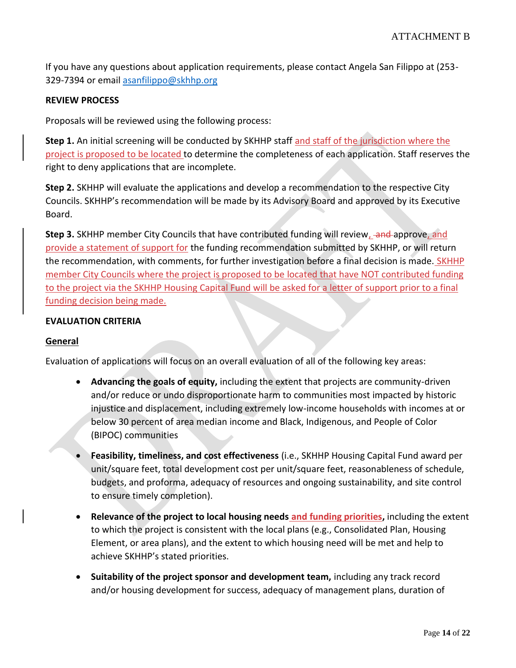If you have any questions about application requirements, please contact Angela San Filippo at (253- 329-7394 or emai[l asanfilippo@skhhp.org](mailto:asanfilippo@skhhp.org)

#### **REVIEW PROCESS**

Proposals will be reviewed using the following process:

**Step 1.** An initial screening will be conducted by SKHHP staff and staff of the jurisdiction where the project is proposed to be located to determine the completeness of each application. Staff reserves the right to deny applications that are incomplete.

**Step 2.** SKHHP will evaluate the applications and develop a recommendation to the respective City Councils. SKHHP's recommendation will be made by its Advisory Board and approved by its Executive Board.

**Step 3.** SKHHP member City Councils that have contributed funding will review, and approve, and provide a statement of support for the funding recommendation submitted by SKHHP, or will return the recommendation, with comments, for further investigation before a final decision is made. SKHHP member City Councils where the project is proposed to be located that have NOT contributed funding to the project via the SKHHP Housing Capital Fund will be asked for a letter of support prior to a final funding decision being made.

#### **EVALUATION CRITERIA**

#### **General**

Evaluation of applications will focus on an overall evaluation of all of the following key areas:

- **Advancing the goals of equity,** including the extent that projects are community-driven and/or reduce or undo disproportionate harm to communities most impacted by historic injustice and displacement, including extremely low-income households with incomes at or below 30 percent of area median income and Black, Indigenous, and People of Color (BIPOC) communities
- **Feasibility, timeliness, and cost effectiveness** (i.e., SKHHP Housing Capital Fund award per unit/square feet, total development cost per unit/square feet, reasonableness of schedule, budgets, and proforma, adequacy of resources and ongoing sustainability, and site control to ensure timely completion).
- **Relevance of the project to local housing needs and funding priorities,** including the extent to which the project is consistent with the local plans (e.g., Consolidated Plan, Housing Element, or area plans), and the extent to which housing need will be met and help to achieve SKHHP's stated priorities.
- **Suitability of the project sponsor and development team,** including any track record and/or housing development for success, adequacy of management plans, duration of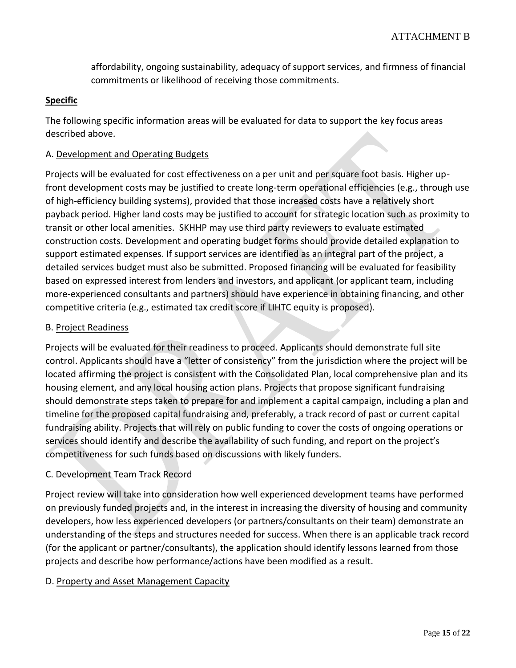affordability, ongoing sustainability, adequacy of support services, and firmness of financial commitments or likelihood of receiving those commitments.

#### **Specific**

The following specific information areas will be evaluated for data to support the key focus areas described above.

#### A. Development and Operating Budgets

Projects will be evaluated for cost effectiveness on a per unit and per square foot basis. Higher upfront development costs may be justified to create long-term operational efficiencies (e.g., through use of high-efficiency building systems), provided that those increased costs have a relatively short payback period. Higher land costs may be justified to account for strategic location such as proximity to transit or other local amenities. SKHHP may use third party reviewers to evaluate estimated construction costs. Development and operating budget forms should provide detailed explanation to support estimated expenses. If support services are identified as an integral part of the project, a detailed services budget must also be submitted. Proposed financing will be evaluated for feasibility based on expressed interest from lenders and investors, and applicant (or applicant team, including more-experienced consultants and partners) should have experience in obtaining financing, and other competitive criteria (e.g., estimated tax credit score if LIHTC equity is proposed).

#### B. Project Readiness

Projects will be evaluated for their readiness to proceed. Applicants should demonstrate full site control. Applicants should have a "letter of consistency" from the jurisdiction where the project will be located affirming the project is consistent with the Consolidated Plan, local comprehensive plan and its housing element, and any local housing action plans. Projects that propose significant fundraising should demonstrate steps taken to prepare for and implement a capital campaign, including a plan and timeline for the proposed capital fundraising and, preferably, a track record of past or current capital fundraising ability. Projects that will rely on public funding to cover the costs of ongoing operations or services should identify and describe the availability of such funding, and report on the project's competitiveness for such funds based on discussions with likely funders.

#### C. Development Team Track Record

Project review will take into consideration how well experienced development teams have performed on previously funded projects and, in the interest in increasing the diversity of housing and community developers, how less experienced developers (or partners/consultants on their team) demonstrate an understanding of the steps and structures needed for success. When there is an applicable track record (for the applicant or partner/consultants), the application should identify lessons learned from those projects and describe how performance/actions have been modified as a result.

#### D. Property and Asset Management Capacity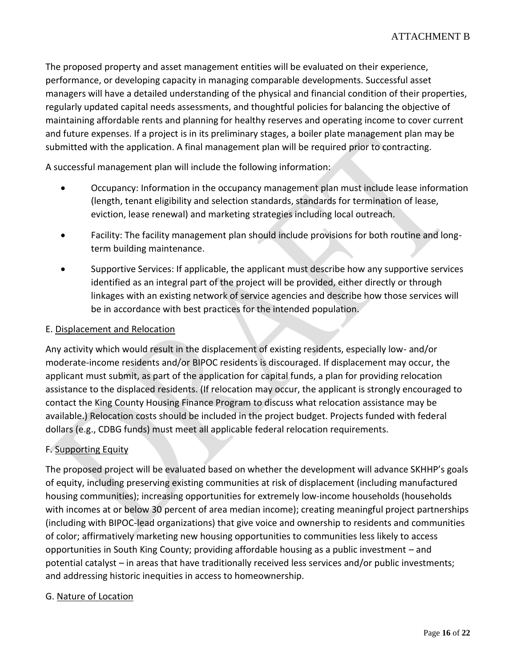The proposed property and asset management entities will be evaluated on their experience, performance, or developing capacity in managing comparable developments. Successful asset managers will have a detailed understanding of the physical and financial condition of their properties, regularly updated capital needs assessments, and thoughtful policies for balancing the objective of maintaining affordable rents and planning for healthy reserves and operating income to cover current and future expenses. If a project is in its preliminary stages, a boiler plate management plan may be submitted with the application. A final management plan will be required prior to contracting.

A successful management plan will include the following information:

- Occupancy: Information in the occupancy management plan must include lease information (length, tenant eligibility and selection standards, standards for termination of lease, eviction, lease renewal) and marketing strategies including local outreach.
- Facility: The facility management plan should include provisions for both routine and longterm building maintenance.
- Supportive Services: If applicable, the applicant must describe how any supportive services identified as an integral part of the project will be provided, either directly or through linkages with an existing network of service agencies and describe how those services will be in accordance with best practices for the intended population.

## E. Displacement and Relocation

Any activity which would result in the displacement of existing residents, especially low- and/or moderate-income residents and/or BIPOC residents is discouraged. If displacement may occur, the applicant must submit, as part of the application for capital funds, a plan for providing relocation assistance to the displaced residents. (If relocation may occur, the applicant is strongly encouraged to contact the King County Housing Finance Program to discuss what relocation assistance may be available.) Relocation costs should be included in the project budget. Projects funded with federal dollars (e.g., CDBG funds) must meet all applicable federal relocation requirements.

## F. Supporting Equity

The proposed project will be evaluated based on whether the development will advance SKHHP's goals of equity, including preserving existing communities at risk of displacement (including manufactured housing communities); increasing opportunities for extremely low-income households (households with incomes at or below 30 percent of area median income); creating meaningful project partnerships (including with BIPOC-lead organizations) that give voice and ownership to residents and communities of color; affirmatively marketing new housing opportunities to communities less likely to access opportunities in South King County; providing affordable housing as a public investment – and potential catalyst – in areas that have traditionally received less services and/or public investments; and addressing historic inequities in access to homeownership.

#### G. Nature of Location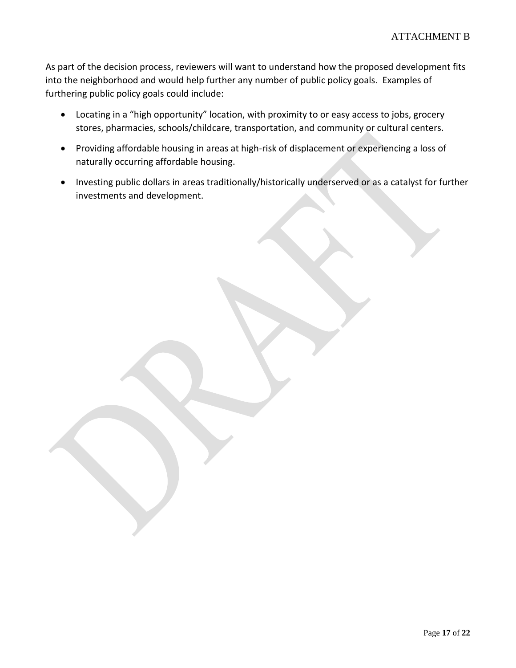As part of the decision process, reviewers will want to understand how the proposed development fits into the neighborhood and would help further any number of public policy goals. Examples of furthering public policy goals could include:

- Locating in a "high opportunity" location, with proximity to or easy access to jobs, grocery stores, pharmacies, schools/childcare, transportation, and community or cultural centers.
- Providing affordable housing in areas at high-risk of displacement or experiencing a loss of naturally occurring affordable housing.
- Investing public dollars in areas traditionally/historically underserved or as a catalyst for further investments and development.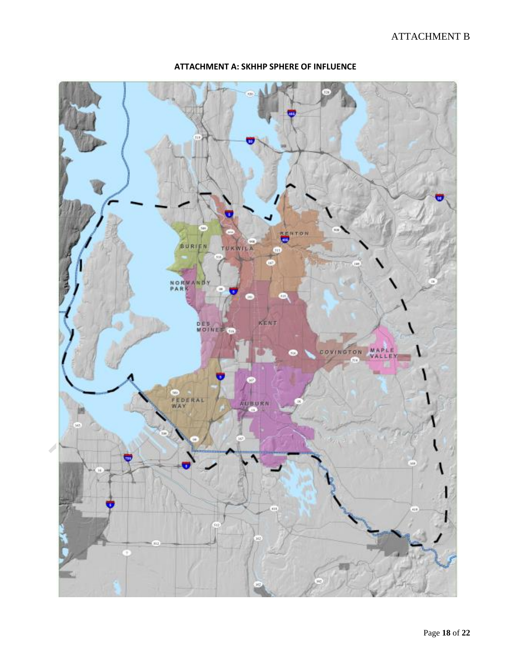## ATTACHMENT B



#### **ATTACHMENT A: SKHHP SPHERE OF INFLUENCE**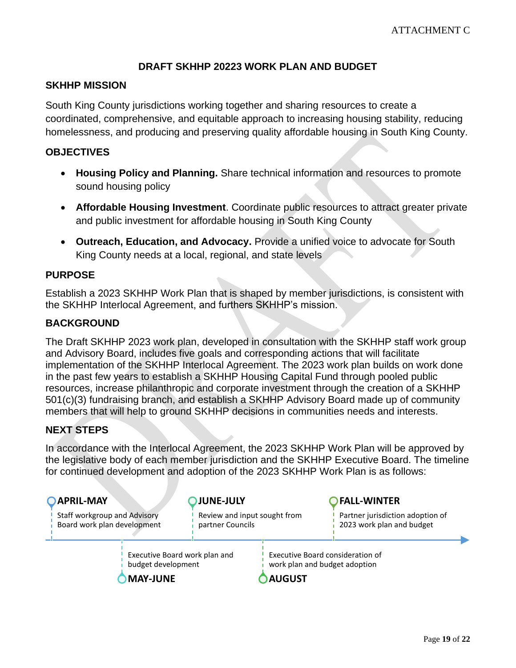## **DRAFT SKHHP 20223 WORK PLAN AND BUDGET**

## <span id="page-18-0"></span>**SKHHP MISSION**

South King County jurisdictions working together and sharing resources to create a coordinated, comprehensive, and equitable approach to increasing housing stability, reducing homelessness, and producing and preserving quality affordable housing in South King County.

## **OBJECTIVES**

- **Housing Policy and Planning.** Share technical information and resources to promote sound housing policy
- **Affordable Housing Investment**. Coordinate public resources to attract greater private and public investment for affordable housing in South King County
- **Outreach, Education, and Advocacy.** Provide a unified voice to advocate for South King County needs at a local, regional, and state levels

## **PURPOSE**

Establish a 2023 SKHHP Work Plan that is shaped by member jurisdictions, is consistent with the SKHHP Interlocal Agreement, and furthers SKHHP's mission.

## **BACKGROUND**

The Draft SKHHP 2023 work plan, developed in consultation with the SKHHP staff work group and Advisory Board, includes five goals and corresponding actions that will facilitate implementation of the SKHHP Interlocal Agreement. The 2023 work plan builds on work done in the past few years to establish a SKHHP Housing Capital Fund through pooled public resources, increase philanthropic and corporate investment through the creation of a SKHHP 501(c)(3) fundraising branch, and establish a SKHHP Advisory Board made up of community members that will help to ground SKHHP decisions in communities needs and interests.

## **NEXT STEPS**

In accordance with the Interlocal Agreement, the 2023 SKHHP Work Plan will be approved by the legislative body of each member jurisdiction and the SKHHP Executive Board. The timeline for continued development and adoption of the 2023 SKHHP Work Plan is as follows:

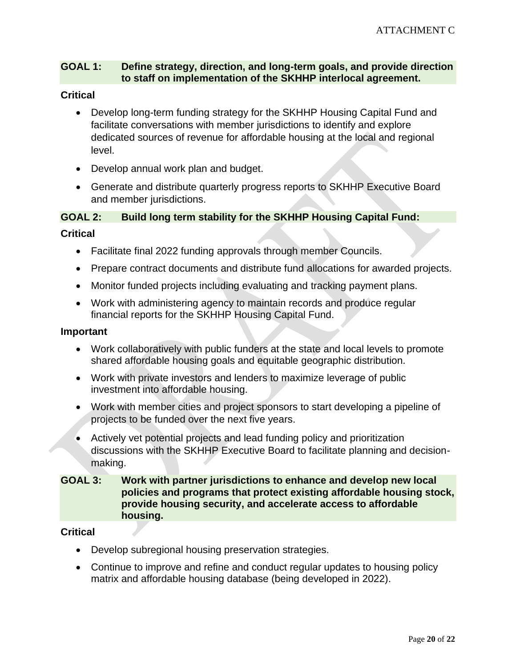## **GOAL 1: Define strategy, direction, and long-term goals, and provide direction to staff on implementation of the SKHHP interlocal agreement.**

### **Critical**

- Develop long-term funding strategy for the SKHHP Housing Capital Fund and facilitate conversations with member jurisdictions to identify and explore dedicated sources of revenue for affordable housing at the local and regional level.
- Develop annual work plan and budget.
- Generate and distribute quarterly progress reports to SKHHP Executive Board and member jurisdictions.

## **GOAL 2: Build long term stability for the SKHHP Housing Capital Fund:**

#### **Critical**

- Facilitate final 2022 funding approvals through member Councils.
- Prepare contract documents and distribute fund allocations for awarded projects.
- Monitor funded projects including evaluating and tracking payment plans.
- Work with administering agency to maintain records and produce regular financial reports for the SKHHP Housing Capital Fund.

#### **Important**

- Work collaboratively with public funders at the state and local levels to promote shared affordable housing goals and equitable geographic distribution.
- Work with private investors and lenders to maximize leverage of public investment into affordable housing.
- Work with member cities and project sponsors to start developing a pipeline of projects to be funded over the next five years.
- Actively vet potential projects and lead funding policy and prioritization discussions with the SKHHP Executive Board to facilitate planning and decisionmaking.

## **GOAL 3: Work with partner jurisdictions to enhance and develop new local policies and programs that protect existing affordable housing stock, provide housing security, and accelerate access to affordable housing.**

#### **Critical**

- Develop subregional housing preservation strategies.
- Continue to improve and refine and conduct regular updates to housing policy matrix and affordable housing database (being developed in 2022).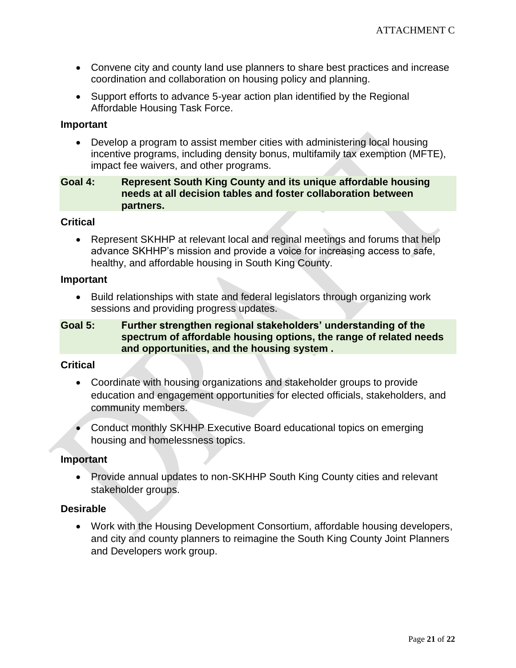- Convene city and county land use planners to share best practices and increase coordination and collaboration on housing policy and planning.
- Support efforts to advance 5-year action plan identified by the Regional Affordable Housing Task Force.

#### **Important**

• Develop a program to assist member cities with administering local housing incentive programs, including density bonus, multifamily tax exemption (MFTE), impact fee waivers, and other programs.

## **Goal 4: Represent South King County and its unique affordable housing needs at all decision tables and foster collaboration between partners.**

#### **Critical**

• Represent SKHHP at relevant local and reginal meetings and forums that help advance SKHHP's mission and provide a voice for increasing access to safe, healthy, and affordable housing in South King County.

#### **Important**

• Build relationships with state and federal legislators through organizing work sessions and providing progress updates.

## **Goal 5: Further strengthen regional stakeholders' understanding of the spectrum of affordable housing options, the range of related needs and opportunities, and the housing system .**

#### **Critical**

- Coordinate with housing organizations and stakeholder groups to provide education and engagement opportunities for elected officials, stakeholders, and community members.
- Conduct monthly SKHHP Executive Board educational topics on emerging housing and homelessness topics.

#### **Important**

• Provide annual updates to non-SKHHP South King County cities and relevant stakeholder groups.

#### **Desirable**

• Work with the Housing Development Consortium, affordable housing developers, and city and county planners to reimagine the South King County Joint Planners and Developers work group.